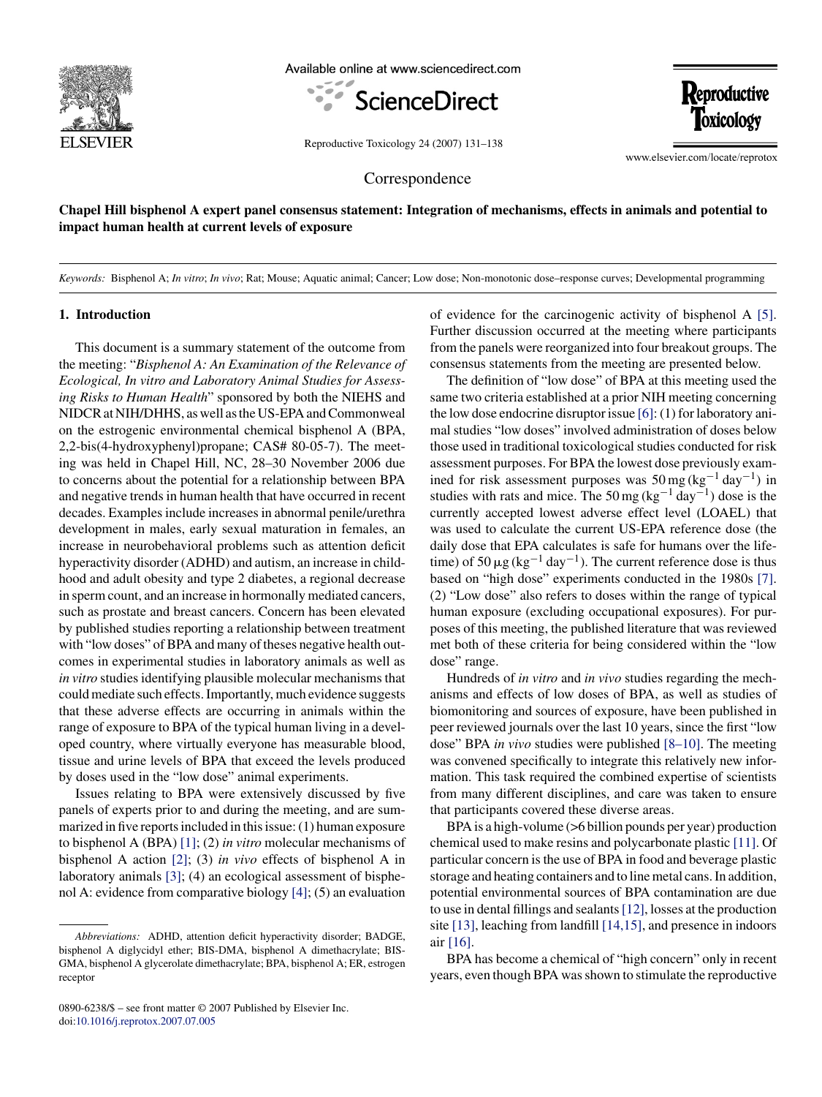

Available online at www.sciencedirect.com





Reproductive Toxicology 24 (2007) 131–138

www.elsevier.com/locate/reprotox

Correspondence

**Chapel Hill bisphenol A expert panel consensus statement: Integration of mechanisms, effects in animals and potential to impact human health at current levels of exposure**

*Keywords:* Bisphenol A; *In vitro*; *In vivo*; Rat; Mouse; Aquatic animal; Cancer; Low dose; Non-monotonic dose–response curves; Developmental programming

#### **1. Introduction**

This document is a summary statement of the outcome from the meeting: "*Bisphenol A: An Examination of the Relevance of Ecological, In vitro and Laboratory Animal Studies for Assessing Risks to Human Health*" sponsored by both the NIEHS and NIDCR at NIH/DHHS, as well as the US-EPA and Commonweal on the estrogenic environmental chemical bisphenol A (BPA, 2,2-bis(4-hydroxyphenyl)propane; CAS# 80-05-7). The meeting was held in Chapel Hill, NC, 28–30 November 2006 due to concerns about the potential for a relationship between BPA and negative trends in human health that have occurred in recent decades. Examples include increases in abnormal penile/urethra development in males, early sexual maturation in females, an increase in neurobehavioral problems such as attention deficit hyperactivity disorder (ADHD) and autism, an increase in childhood and adult obesity and type 2 diabetes, a regional decrease in sperm count, and an increase in hormonally mediated cancers, such as prostate and breast cancers. Concern has been elevated by published studies reporting a relationship between treatment with "low doses" of BPA and many of theses negative health outcomes in experimental studies in laboratory animals as well as *in vitro* studies identifying plausible molecular mechanisms that could mediate such effects. Importantly, much evidence suggests that these adverse effects are occurring in animals within the range of exposure to BPA of the typical human living in a developed country, where virtually everyone has measurable blood, tissue and urine levels of BPA that exceed the levels produced by doses used in the "low dose" animal experiments.

Issues relating to BPA were extensively discussed by five panels of experts prior to and during the meeting, and are summarized in five reports included in this issue: (1) human exposure to bisphenol A (BPA) [\[1\];](#page-5-0) (2) *in vitro* molecular mechanisms of bisphenol A action [\[2\];](#page-5-1) (3) *in vivo* effects of bisphenol A in laboratory animals [\[3\];](#page-6-0) (4) an ecological assessment of bisphenol A: evidence from comparative biology [\[4\]; \(](#page-6-1)5) an evaluation

of evidence for the carcinogenic activity of bisphenol A [\[5\].](#page-6-2) Further discussion occurred at the meeting where participants from the panels were reorganized into four breakout groups. The consensus statements from the meeting are presented below.

The definition of "low dose" of BPA at this meeting used the same two criteria established at a prior NIH meeting concerning the low dose endocrine disruptor issue [\[6\]: \(](#page-6-3)1) for laboratory animal studies "low doses" involved administration of doses below those used in traditional toxicological studies conducted for risk assessment purposes. For BPA the lowest dose previously examined for risk assessment purposes was  $50 \text{ mg} (\text{kg}^{-1} \text{ day}^{-1})$  in studies with rats and mice. The 50 mg (kg<sup>-1</sup> day<sup>-1</sup>) dose is the currently accepted lowest adverse effect level (LOAEL) that was used to calculate the current US-EPA reference dose (the daily dose that EPA calculates is safe for humans over the lifetime) of 50  $\mu$ g (kg<sup>-1</sup> day<sup>-1</sup>). The current reference dose is thus based on "high dose" experiments conducted in the 1980s [\[7\].](#page-6-4) (2) "Low dose" also refers to doses within the range of typical human exposure (excluding occupational exposures). For purposes of this meeting, the published literature that was reviewed met both of these criteria for being considered within the "low dose" range.

Hundreds of *in vitro* and *in vivo* studies regarding the mechanisms and effects of low doses of BPA, as well as studies of biomonitoring and sources of exposure, have been published in peer reviewed journals over the last 10 years, since the first "low dose" BPA *in vivo* studies were published [\[8–10\].](#page-6-5) The meeting was convened specifically to integrate this relatively new information. This task required the combined expertise of scientists from many different disciplines, and care was taken to ensure that participants covered these diverse areas.

BPA is a high-volume (>6 billion pounds per year) production chemical used to make resins and polycarbonate plastic [\[11\]. O](#page-6-6)f particular concern is the use of BPA in food and beverage plastic storage and heating containers and to line metal cans. In addition, potential environmental sources of BPA contamination are due to use in dental fillings and sealants[\[12\], l](#page-6-7)osses at the production site [\[13\], l](#page-6-8)eaching from landfill [\[14,15\], a](#page-6-9)nd presence in indoors air [\[16\].](#page-6-10)

BPA has become a chemical of "high concern" only in recent years, even though BPA was shown to stimulate the reproductive

*Abbreviations:* ADHD, attention deficit hyperactivity disorder; BADGE, bisphenol A diglycidyl ether; BIS-DMA, bisphenol A dimethacrylate; BIS-GMA, bisphenol A glycerolate dimethacrylate; BPA, bisphenol A; ER, estrogen receptor

<sup>0890-6238/\$ –</sup> see front matter © 2007 Published by Elsevier Inc. doi[:10.1016/j.reprotox.2007.07.005](file://localhost/Users/wallrj/Downloads/dx.doi.org/10.1016/j.reprotox.2007.07.005)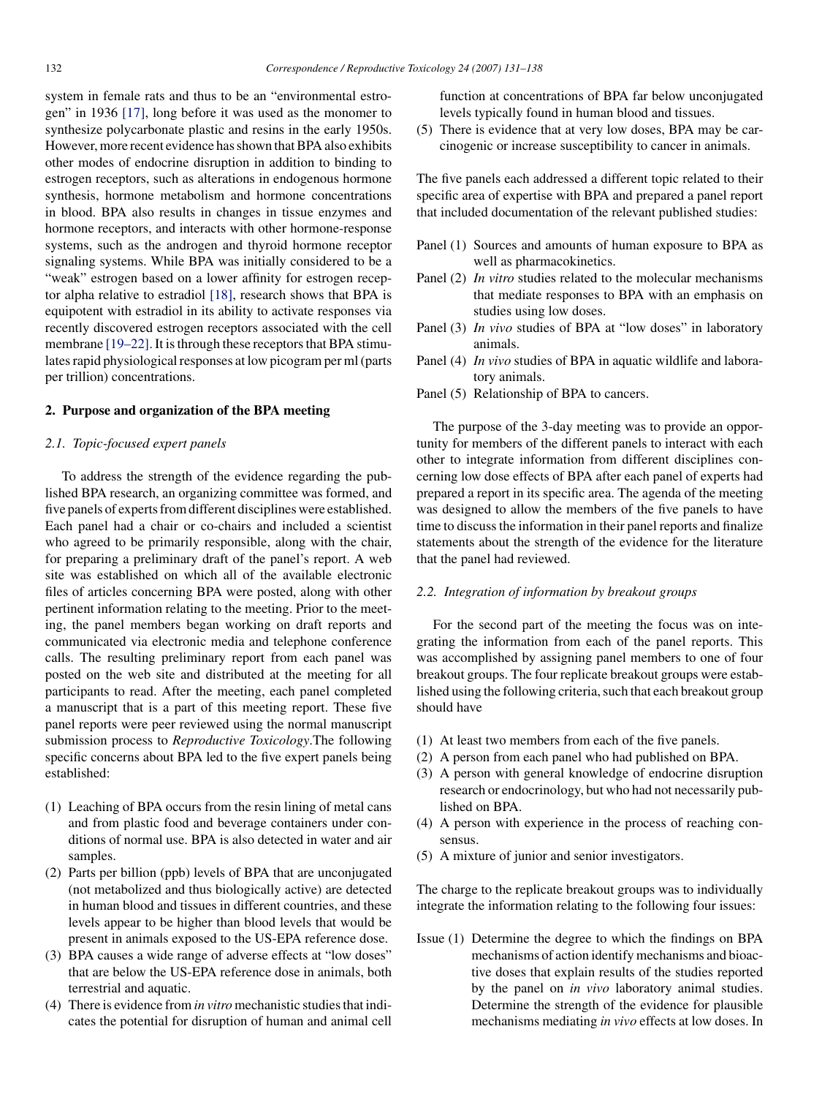system in female rats and thus to be an "environmental estrogen" in 1936 [\[17\],](#page-6-12) long before it was used as the monomer to synthesize polycarbonate plastic and resins in the early 1950s. However, more recent evidence has shown that BPA also exhibits other modes of endocrine disruption in addition to binding to estrogen receptors, such as alterations in endogenous hormone synthesis, hormone metabolism and hormone concentrations in blood. BPA also results in changes in tissue enzymes and hormone receptors, and interacts with other hormone-response systems, such as the androgen and thyroid hormone receptor signaling systems. While BPA was initially considered to be a "weak" estrogen based on a lower affinity for estrogen receptor alpha relative to estradiol [\[18\],](#page-6-13) research shows that BPA is equipotent with estradiol in its ability to activate responses via recently discovered estrogen receptors associated with the cell membrane [\[19–22\]. I](#page-6-11)t is through these receptors that BPA stimulates rapid physiological responses at low picogram per ml (parts per trillion) concentrations.

#### **2. Purpose and organization of the BPA meeting**

#### *2.1. Topic-focused expert panels*

To address the strength of the evidence regarding the published BPA research, an organizing committee was formed, and five panels of experts from different disciplines were established. Each panel had a chair or co-chairs and included a scientist who agreed to be primarily responsible, along with the chair, for preparing a preliminary draft of the panel's report. A web site was established on which all of the available electronic files of articles concerning BPA were posted, along with other pertinent information relating to the meeting. Prior to the meeting, the panel members began working on draft reports and communicated via electronic media and telephone conference calls. The resulting preliminary report from each panel was posted on the web site and distributed at the meeting for all participants to read. After the meeting, each panel completed a manuscript that is a part of this meeting report. These five panel reports were peer reviewed using the normal manuscript submission process to *Reproductive Toxicology*.The following specific concerns about BPA led to the five expert panels being established:

- (1) Leaching of BPA occurs from the resin lining of metal cans and from plastic food and beverage containers under conditions of normal use. BPA is also detected in water and air samples.
- (2) Parts per billion (ppb) levels of BPA that are unconjugated (not metabolized and thus biologically active) are detected in human blood and tissues in different countries, and these levels appear to be higher than blood levels that would be present in animals exposed to the US-EPA reference dose.
- (3) BPA causes a wide range of adverse effects at "low doses" that are below the US-EPA reference dose in animals, both terrestrial and aquatic.
- (4) There is evidence from *in vitro* mechanistic studies that indicates the potential for disruption of human and animal cell

function at concentrations of BPA far below unconjugated levels typically found in human blood and tissues.

(5) There is evidence that at very low doses, BPA may be carcinogenic or increase susceptibility to cancer in animals.

The five panels each addressed a different topic related to their specific area of expertise with BPA and prepared a panel report that included documentation of the relevant published studies:

- Panel (1) Sources and amounts of human exposure to BPA as well as pharmacokinetics.
- Panel (2) *In vitro* studies related to the molecular mechanisms that mediate responses to BPA with an emphasis on studies using low doses.
- Panel (3) *In vivo* studies of BPA at "low doses" in laboratory animals.
- Panel (4) *In vivo* studies of BPA in aquatic wildlife and laboratory animals.
- Panel (5) Relationship of BPA to cancers.

The purpose of the 3-day meeting was to provide an opportunity for members of the different panels to interact with each other to integrate information from different disciplines concerning low dose effects of BPA after each panel of experts had prepared a report in its specific area. The agenda of the meeting was designed to allow the members of the five panels to have time to discuss the information in their panel reports and finalize statements about the strength of the evidence for the literature that the panel had reviewed.

#### *2.2. Integration of information by breakout groups*

For the second part of the meeting the focus was on integrating the information from each of the panel reports. This was accomplished by assigning panel members to one of four breakout groups. The four replicate breakout groups were established using the following criteria, such that each breakout group should have

- (1) At least two members from each of the five panels.
- (2) A person from each panel who had published on BPA.
- (3) A person with general knowledge of endocrine disruption research or endocrinology, but who had not necessarily published on BPA.
- (4) A person with experience in the process of reaching consensus.
- (5) A mixture of junior and senior investigators.

The charge to the replicate breakout groups was to individually integrate the information relating to the following four issues:

Issue (1) Determine the degree to which the findings on BPA mechanisms of action identify mechanisms and bioactive doses that explain results of the studies reported by the panel on *in vivo* laboratory animal studies. Determine the strength of the evidence for plausible mechanisms mediating *in vivo* effects at low doses. In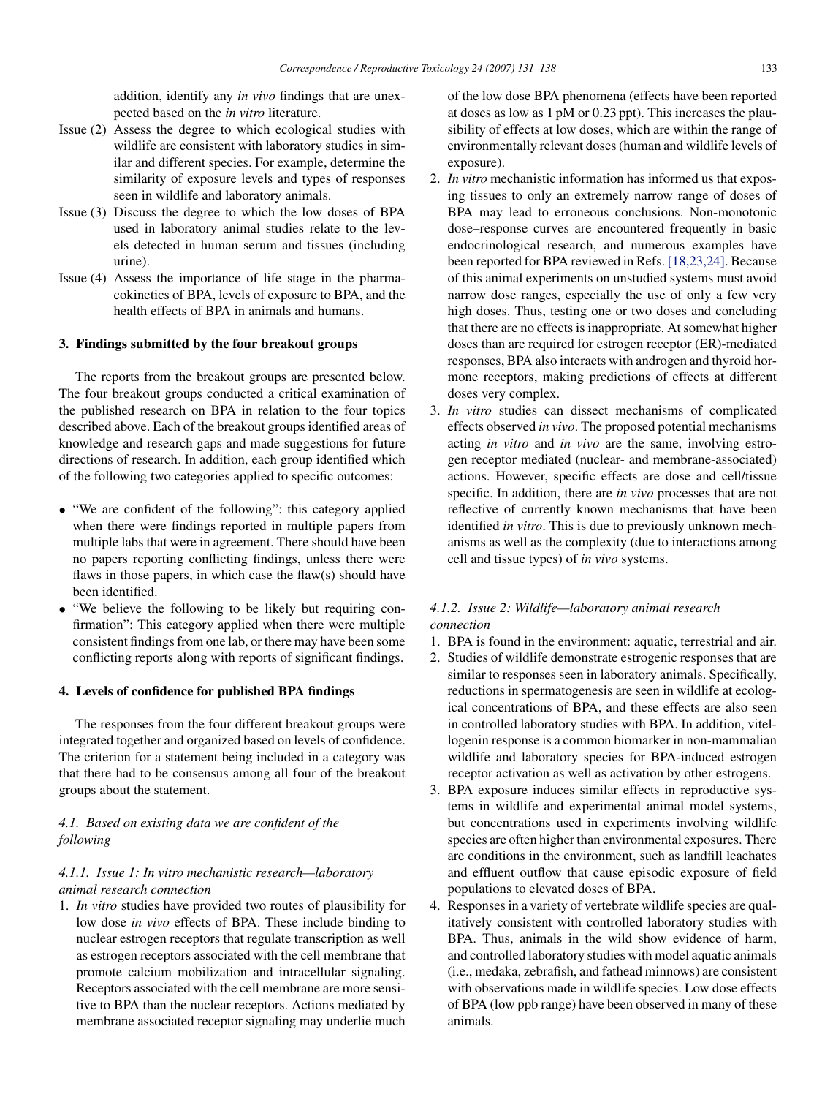addition, identify any *in vivo* findings that are unexpected based on the *in vitro* literature.

- Issue (2) Assess the degree to which ecological studies with wildlife are consistent with laboratory studies in similar and different species. For example, determine the similarity of exposure levels and types of responses seen in wildlife and laboratory animals.
- Issue (3) Discuss the degree to which the low doses of BPA used in laboratory animal studies relate to the levels detected in human serum and tissues (including urine).
- Issue (4) Assess the importance of life stage in the pharmacokinetics of BPA, levels of exposure to BPA, and the health effects of BPA in animals and humans.

### **3. Findings submitted by the four breakout groups**

The reports from the breakout groups are presented below. The four breakout groups conducted a critical examination of the published research on BPA in relation to the four topics described above. Each of the breakout groups identified areas of knowledge and research gaps and made suggestions for future directions of research. In addition, each group identified which of the following two categories applied to specific outcomes:

- "We are confident of the following": this category applied when there were findings reported in multiple papers from multiple labs that were in agreement. There should have been no papers reporting conflicting findings, unless there were flaws in those papers, in which case the flaw(s) should have been identified.
- "We believe the following to be likely but requiring confirmation": This category applied when there were multiple consistent findings from one lab, or there may have been some conflicting reports along with reports of significant findings.

### **4. Levels of confidence for published BPA findings**

The responses from the four different breakout groups were integrated together and organized based on levels of confidence. The criterion for a statement being included in a category was that there had to be consensus among all four of the breakout groups about the statement.

## *4.1. Based on existing data we are confident of the following*

### *4.1.1. Issue 1: In vitro mechanistic research—laboratory animal research connection*

1. *In vitro* studies have provided two routes of plausibility for low dose *in vivo* effects of BPA. These include binding to nuclear estrogen receptors that regulate transcription as well as estrogen receptors associated with the cell membrane that promote calcium mobilization and intracellular signaling. Receptors associated with the cell membrane are more sensitive to BPA than the nuclear receptors. Actions mediated by membrane associated receptor signaling may underlie much

of the low dose BPA phenomena (effects have been reported at doses as low as 1 pM or 0.23 ppt). This increases the plausibility of effects at low doses, which are within the range of environmentally relevant doses (human and wildlife levels of exposure).

- 2. *In vitro* mechanistic information has informed us that exposing tissues to only an extremely narrow range of doses of BPA may lead to erroneous conclusions. Non-monotonic dose–response curves are encountered frequently in basic endocrinological research, and numerous examples have been reported for BPA reviewed in Refs. [\[18,23,24\]. B](#page-6-13)ecause of this animal experiments on unstudied systems must avoid narrow dose ranges, especially the use of only a few very high doses. Thus, testing one or two doses and concluding that there are no effects is inappropriate. At somewhat higher doses than are required for estrogen receptor (ER)-mediated responses, BPA also interacts with androgen and thyroid hormone receptors, making predictions of effects at different doses very complex.
- 3. *In vitro* studies can dissect mechanisms of complicated effects observed *in vivo*. The proposed potential mechanisms acting *in vitro* and *in vivo* are the same, involving estrogen receptor mediated (nuclear- and membrane-associated) actions. However, specific effects are dose and cell/tissue specific. In addition, there are *in vivo* processes that are not reflective of currently known mechanisms that have been identified *in vitro*. This is due to previously unknown mechanisms as well as the complexity (due to interactions among cell and tissue types) of *in vivo* systems.

### *4.1.2. Issue 2: Wildlife—laboratory animal research connection*

- 1. BPA is found in the environment: aquatic, terrestrial and air.
- 2. Studies of wildlife demonstrate estrogenic responses that are similar to responses seen in laboratory animals. Specifically, reductions in spermatogenesis are seen in wildlife at ecological concentrations of BPA, and these effects are also seen in controlled laboratory studies with BPA. In addition, vitellogenin response is a common biomarker in non-mammalian wildlife and laboratory species for BPA-induced estrogen receptor activation as well as activation by other estrogens.
- 3. BPA exposure induces similar effects in reproductive systems in wildlife and experimental animal model systems, but concentrations used in experiments involving wildlife species are often higher than environmental exposures. There are conditions in the environment, such as landfill leachates and effluent outflow that cause episodic exposure of field populations to elevated doses of BPA.
- 4. Responses in a variety of vertebrate wildlife species are qualitatively consistent with controlled laboratory studies with BPA. Thus, animals in the wild show evidence of harm, and controlled laboratory studies with model aquatic animals (i.e., medaka, zebrafish, and fathead minnows) are consistent with observations made in wildlife species. Low dose effects of BPA (low ppb range) have been observed in many of these animals.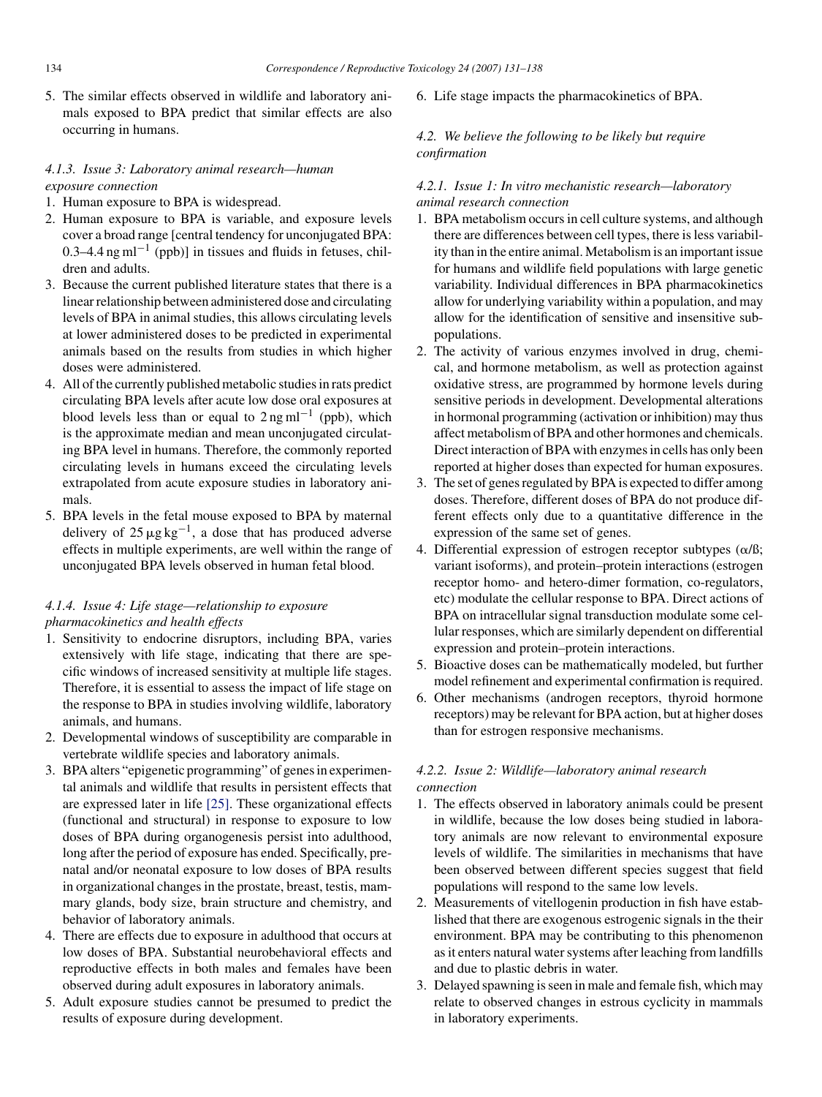5. The similar effects observed in wildlife and laboratory animals exposed to BPA predict that similar effects are also occurring in humans.

## *4.1.3. Issue 3: Laboratory animal research—human exposure connection*

- 1. Human exposure to BPA is widespread.
- 2. Human exposure to BPA is variable, and exposure levels cover a broad range [central tendency for unconjugated BPA: 0.3–4.4 ng ml<sup>-1</sup> (ppb)] in tissues and fluids in fetuses, children and adults.
- 3. Because the current published literature states that there is a linear relationship between administered dose and circulating levels of BPA in animal studies, this allows circulating levels at lower administered doses to be predicted in experimental animals based on the results from studies in which higher doses were administered.
- 4. All of the currently published metabolic studies in rats predict circulating BPA levels after acute low dose oral exposures at blood levels less than or equal to  $2 \text{ ng ml}^{-1}$  (ppb), which is the approximate median and mean unconjugated circulating BPA level in humans. Therefore, the commonly reported circulating levels in humans exceed the circulating levels extrapolated from acute exposure studies in laboratory animals.
- 5. BPA levels in the fetal mouse exposed to BPA by maternal delivery of  $25 \mu g kg^{-1}$ , a dose that has produced adverse effects in multiple experiments, are well within the range of unconjugated BPA levels observed in human fetal blood.

## *4.1.4. Issue 4: Life stage—relationship to exposure pharmacokinetics and health effects*

- 1. Sensitivity to endocrine disruptors, including BPA, varies extensively with life stage, indicating that there are specific windows of increased sensitivity at multiple life stages. Therefore, it is essential to assess the impact of life stage on the response to BPA in studies involving wildlife, laboratory animals, and humans.
- 2. Developmental windows of susceptibility are comparable in vertebrate wildlife species and laboratory animals.
- 3. BPA alters "epigenetic programming" of genes in experimental animals and wildlife that results in persistent effects that are expressed later in life [\[25\].](#page-6-14) These organizational effects (functional and structural) in response to exposure to low doses of BPA during organogenesis persist into adulthood, long after the period of exposure has ended. Specifically, prenatal and/or neonatal exposure to low doses of BPA results in organizational changes in the prostate, breast, testis, mammary glands, body size, brain structure and chemistry, and behavior of laboratory animals.
- 4. There are effects due to exposure in adulthood that occurs at low doses of BPA. Substantial neurobehavioral effects and reproductive effects in both males and females have been observed during adult exposures in laboratory animals.
- 5. Adult exposure studies cannot be presumed to predict the results of exposure during development.

6. Life stage impacts the pharmacokinetics of BPA.

## *4.2. We believe the following to be likely but require confirmation*

## *4.2.1. Issue 1: In vitro mechanistic research—laboratory animal research connection*

- 1. BPA metabolism occurs in cell culture systems, and although there are differences between cell types, there is less variability than in the entire animal. Metabolism is an important issue for humans and wildlife field populations with large genetic variability. Individual differences in BPA pharmacokinetics allow for underlying variability within a population, and may allow for the identification of sensitive and insensitive subpopulations.
- 2. The activity of various enzymes involved in drug, chemical, and hormone metabolism, as well as protection against oxidative stress, are programmed by hormone levels during sensitive periods in development. Developmental alterations in hormonal programming (activation or inhibition) may thus affect metabolism of BPA and other hormones and chemicals. Direct interaction of BPA with enzymes in cells has only been reported at higher doses than expected for human exposures.
- 3. The set of genes regulated by BPA is expected to differ among doses. Therefore, different doses of BPA do not produce different effects only due to a quantitative difference in the expression of the same set of genes.
- 4. Differential expression of estrogen receptor subtypes  $(\alpha/\beta)$ ; variant isoforms), and protein–protein interactions (estrogen receptor homo- and hetero-dimer formation, co-regulators, etc) modulate the cellular response to BPA. Direct actions of BPA on intracellular signal transduction modulate some cellular responses, which are similarly dependent on differential expression and protein–protein interactions.
- 5. Bioactive doses can be mathematically modeled, but further model refinement and experimental confirmation is required.
- 6. Other mechanisms (androgen receptors, thyroid hormone receptors) may be relevant for BPA action, but at higher doses than for estrogen responsive mechanisms.

## *4.2.2. Issue 2: Wildlife—laboratory animal research connection*

- 1. The effects observed in laboratory animals could be present in wildlife, because the low doses being studied in laboratory animals are now relevant to environmental exposure levels of wildlife. The similarities in mechanisms that have been observed between different species suggest that field populations will respond to the same low levels.
- 2. Measurements of vitellogenin production in fish have established that there are exogenous estrogenic signals in the their environment. BPA may be contributing to this phenomenon as it enters natural water systems after leaching from landfills and due to plastic debris in water.
- 3. Delayed spawning is seen in male and female fish, which may relate to observed changes in estrous cyclicity in mammals in laboratory experiments.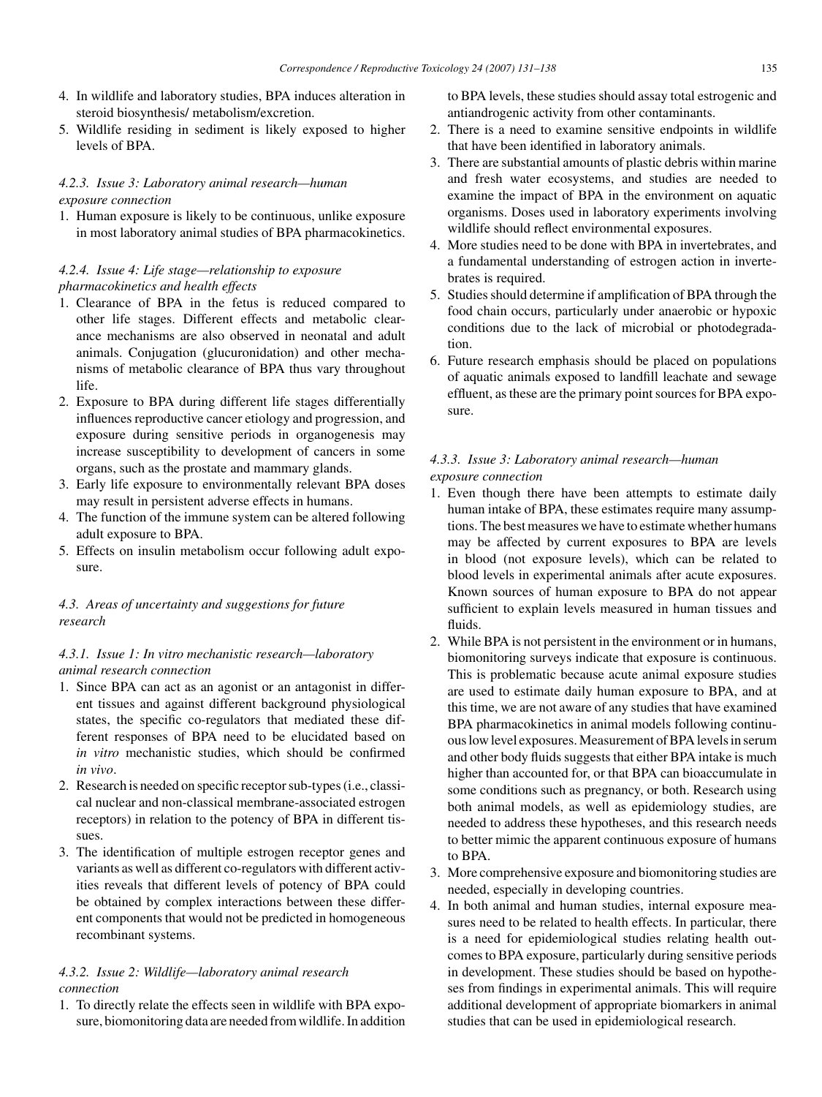- 4. In wildlife and laboratory studies, BPA induces alteration in steroid biosynthesis/ metabolism/excretion.
- 5. Wildlife residing in sediment is likely exposed to higher levels of BPA.

## *4.2.3. Issue 3: Laboratory animal research—human exposure connection*

1. Human exposure is likely to be continuous, unlike exposure in most laboratory animal studies of BPA pharmacokinetics.

# *4.2.4. Issue 4: Life stage—relationship to exposure pharmacokinetics and health effects*

- 1. Clearance of BPA in the fetus is reduced compared to other life stages. Different effects and metabolic clearance mechanisms are also observed in neonatal and adult animals. Conjugation (glucuronidation) and other mechanisms of metabolic clearance of BPA thus vary throughout life.
- 2. Exposure to BPA during different life stages differentially influences reproductive cancer etiology and progression, and exposure during sensitive periods in organogenesis may increase susceptibility to development of cancers in some organs, such as the prostate and mammary glands.
- 3. Early life exposure to environmentally relevant BPA doses may result in persistent adverse effects in humans.
- 4. The function of the immune system can be altered following adult exposure to BPA.
- 5. Effects on insulin metabolism occur following adult exposure.

## *4.3. Areas of uncertainty and suggestions for future research*

## *4.3.1. Issue 1: In vitro mechanistic research—laboratory animal research connection*

- 1. Since BPA can act as an agonist or an antagonist in different tissues and against different background physiological states, the specific co-regulators that mediated these different responses of BPA need to be elucidated based on *in vitro* mechanistic studies, which should be confirmed *in vivo*.
- 2. Research is needed on specific receptor sub-types (i.e., classical nuclear and non-classical membrane-associated estrogen receptors) in relation to the potency of BPA in different tissues.
- 3. The identification of multiple estrogen receptor genes and variants as well as different co-regulators with different activities reveals that different levels of potency of BPA could be obtained by complex interactions between these different components that would not be predicted in homogeneous recombinant systems.

## *4.3.2. Issue 2: Wildlife—laboratory animal research connection*

1. To directly relate the effects seen in wildlife with BPA exposure, biomonitoring data are needed from wildlife. In addition to BPA levels, these studies should assay total estrogenic and antiandrogenic activity from other contaminants.

- 2. There is a need to examine sensitive endpoints in wildlife that have been identified in laboratory animals.
- 3. There are substantial amounts of plastic debris within marine and fresh water ecosystems, and studies are needed to examine the impact of BPA in the environment on aquatic organisms. Doses used in laboratory experiments involving wildlife should reflect environmental exposures.
- 4. More studies need to be done with BPA in invertebrates, and a fundamental understanding of estrogen action in invertebrates is required.
- 5. Studies should determine if amplification of BPA through the food chain occurs, particularly under anaerobic or hypoxic conditions due to the lack of microbial or photodegradation.
- 6. Future research emphasis should be placed on populations of aquatic animals exposed to landfill leachate and sewage effluent, as these are the primary point sources for BPA exposure.

### *4.3.3. Issue 3: Laboratory animal research—human exposure connection*

- 1. Even though there have been attempts to estimate daily human intake of BPA, these estimates require many assumptions. The best measures we have to estimate whether humans may be affected by current exposures to BPA are levels in blood (not exposure levels), which can be related to blood levels in experimental animals after acute exposures. Known sources of human exposure to BPA do not appear sufficient to explain levels measured in human tissues and fluids.
- 2. While BPA is not persistent in the environment or in humans, biomonitoring surveys indicate that exposure is continuous. This is problematic because acute animal exposure studies are used to estimate daily human exposure to BPA, and at this time, we are not aware of any studies that have examined BPA pharmacokinetics in animal models following continuous low level exposures.Measurement of BPA levels in serum and other body fluids suggests that either BPA intake is much higher than accounted for, or that BPA can bioaccumulate in some conditions such as pregnancy, or both. Research using both animal models, as well as epidemiology studies, are needed to address these hypotheses, and this research needs to better mimic the apparent continuous exposure of humans to BPA.
- 3. More comprehensive exposure and biomonitoring studies are needed, especially in developing countries.
- 4. In both animal and human studies, internal exposure measures need to be related to health effects. In particular, there is a need for epidemiological studies relating health outcomes to BPA exposure, particularly during sensitive periods in development. These studies should be based on hypotheses from findings in experimental animals. This will require additional development of appropriate biomarkers in animal studies that can be used in epidemiological research.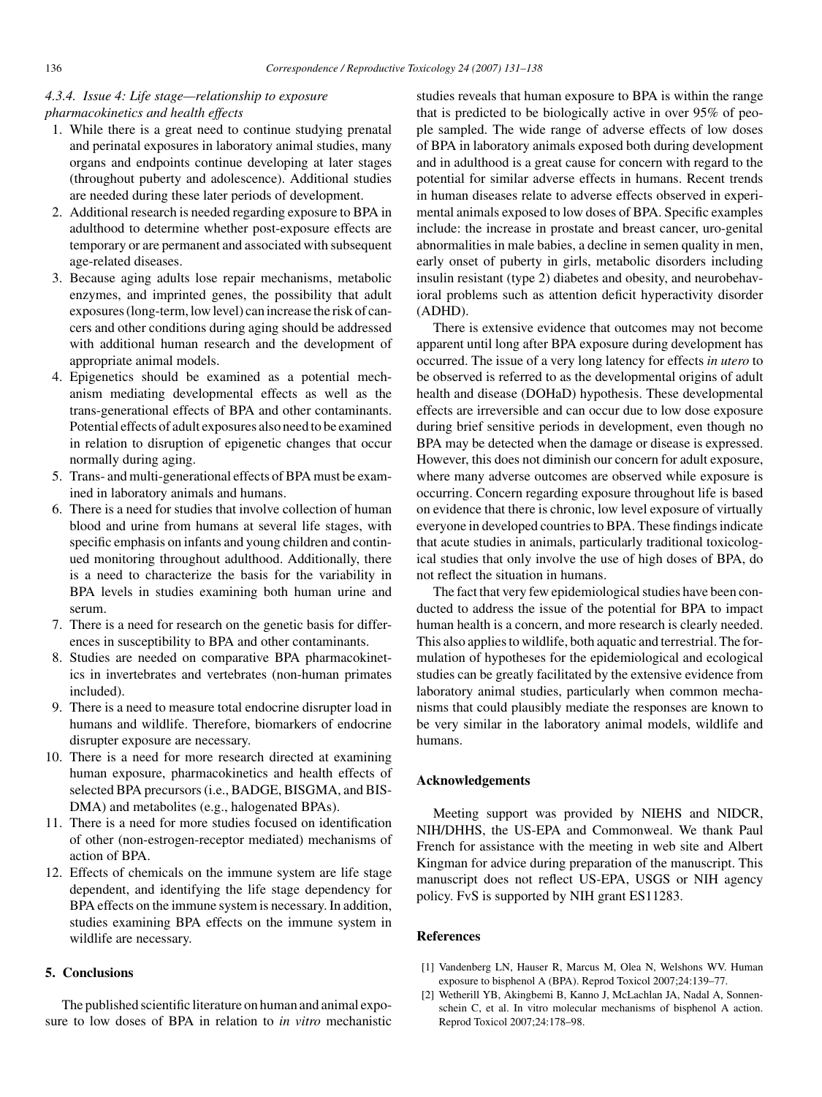### *4.3.4. Issue 4: Life stage—relationship to exposure pharmacokinetics and health effects*

- 1. While there is a great need to continue studying prenatal and perinatal exposures in laboratory animal studies, many organs and endpoints continue developing at later stages (throughout puberty and adolescence). Additional studies are needed during these later periods of development.
- 2. Additional research is needed regarding exposure to BPA in adulthood to determine whether post-exposure effects are temporary or are permanent and associated with subsequent age-related diseases.
- 3. Because aging adults lose repair mechanisms, metabolic enzymes, and imprinted genes, the possibility that adult exposures (long-term, low level) can increase the risk of cancers and other conditions during aging should be addressed with additional human research and the development of appropriate animal models.
- 4. Epigenetics should be examined as a potential mechanism mediating developmental effects as well as the trans-generational effects of BPA and other contaminants. Potential effects of adult exposures also need to be examined in relation to disruption of epigenetic changes that occur normally during aging.
- 5. Trans- and multi-generational effects of BPA must be examined in laboratory animals and humans.
- 6. There is a need for studies that involve collection of human blood and urine from humans at several life stages, with specific emphasis on infants and young children and continued monitoring throughout adulthood. Additionally, there is a need to characterize the basis for the variability in BPA levels in studies examining both human urine and serum.
- 7. There is a need for research on the genetic basis for differences in susceptibility to BPA and other contaminants.
- 8. Studies are needed on comparative BPA pharmacokinetics in invertebrates and vertebrates (non-human primates included).
- 9. There is a need to measure total endocrine disrupter load in humans and wildlife. Therefore, biomarkers of endocrine disrupter exposure are necessary.
- 10. There is a need for more research directed at examining human exposure, pharmacokinetics and health effects of selected BPA precursors (i.e., BADGE, BISGMA, and BIS-DMA) and metabolites (e.g., halogenated BPAs).
- 11. There is a need for more studies focused on identification of other (non-estrogen-receptor mediated) mechanisms of action of BPA.
- <span id="page-5-1"></span><span id="page-5-0"></span>12. Effects of chemicals on the immune system are life stage dependent, and identifying the life stage dependency for BPA effects on the immune system is necessary. In addition, studies examining BPA effects on the immune system in wildlife are necessary.

## **5. Conclusions**

The published scientific literature on human and animal exposure to low doses of BPA in relation to *in vitro* mechanistic studies reveals that human exposure to BPA is within the range that is predicted to be biologically active in over 95% of people sampled. The wide range of adverse effects of low doses of BPA in laboratory animals exposed both during development and in adulthood is a great cause for concern with regard to the potential for similar adverse effects in humans. Recent trends in human diseases relate to adverse effects observed in experimental animals exposed to low doses of BPA. Specific examples include: the increase in prostate and breast cancer, uro-genital abnormalities in male babies, a decline in semen quality in men, early onset of puberty in girls, metabolic disorders including insulin resistant (type 2) diabetes and obesity, and neurobehavioral problems such as attention deficit hyperactivity disorder (ADHD).

There is extensive evidence that outcomes may not become apparent until long after BPA exposure during development has occurred. The issue of a very long latency for effects *in utero* to be observed is referred to as the developmental origins of adult health and disease (DOHaD) hypothesis. These developmental effects are irreversible and can occur due to low dose exposure during brief sensitive periods in development, even though no BPA may be detected when the damage or disease is expressed. However, this does not diminish our concern for adult exposure, where many adverse outcomes are observed while exposure is occurring. Concern regarding exposure throughout life is based on evidence that there is chronic, low level exposure of virtually everyone in developed countries to BPA. These findings indicate that acute studies in animals, particularly traditional toxicological studies that only involve the use of high doses of BPA, do not reflect the situation in humans.

The fact that very few epidemiological studies have been conducted to address the issue of the potential for BPA to impact human health is a concern, and more research is clearly needed. This also applies to wildlife, both aquatic and terrestrial. The formulation of hypotheses for the epidemiological and ecological studies can be greatly facilitated by the extensive evidence from laboratory animal studies, particularly when common mechanisms that could plausibly mediate the responses are known to be very similar in the laboratory animal models, wildlife and humans.

#### **Acknowledgements**

Meeting support was provided by NIEHS and NIDCR, NIH/DHHS, the US-EPA and Commonweal. We thank Paul French for assistance with the meeting in web site and Albert Kingman for advice during preparation of the manuscript. This manuscript does not reflect US-EPA, USGS or NIH agency policy. FvS is supported by NIH grant ES11283.

#### **References**

- [1] Vandenberg LN, Hauser R, Marcus M, Olea N, Welshons WV. Human exposure to bisphenol A (BPA). Reprod Toxicol 2007;24:139–77.
- [2] Wetherill YB, Akingbemi B, Kanno J, McLachlan JA, Nadal A, Sonnenschein C, et al. In vitro molecular mechanisms of bisphenol A action. Reprod Toxicol 2007;24:178–98.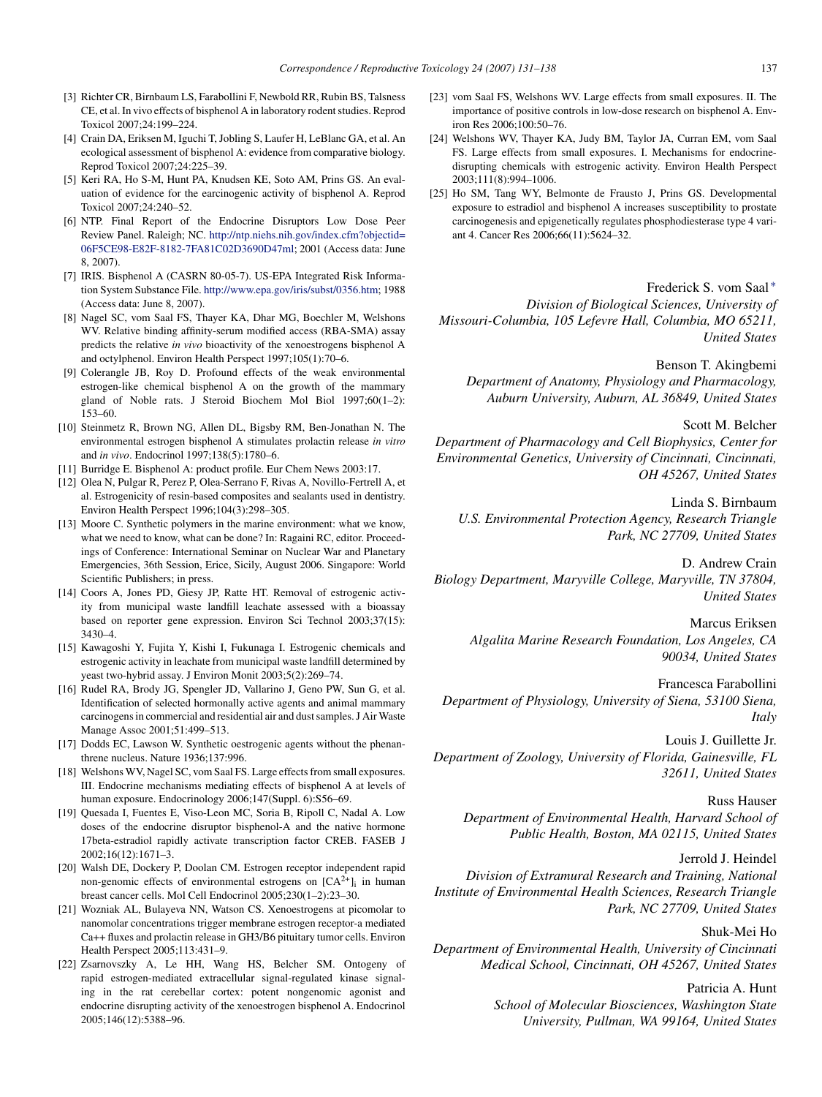- <span id="page-6-14"></span><span id="page-6-2"></span><span id="page-6-1"></span><span id="page-6-0"></span>[3] Richter CR, Birnbaum LS, Farabollini F, Newbold RR, Rubin BS, Talsness CE, et al. In vivo effects of bisphenol A in laboratory rodent studies. Reprod Toxicol 2007;24:199–224.
- <span id="page-6-3"></span>[4] Crain DA, Eriksen M, Iguchi T, Jobling S, Laufer H, LeBlanc GA, et al. An ecological assessment of bisphenol A: evidence from comparative biology. Reprod Toxicol 2007;24:225–39.
- <span id="page-6-4"></span>[5] Keri RA, Ho S-M, Hunt PA, Knudsen KE, Soto AM, Prins GS. An evaluation of evidence for the earcinogenic activity of bisphenol A. Reprod Toxicol 2007;24:240–52.
- <span id="page-6-5"></span>[6] NTP. Final Report of the Endocrine Disruptors Low Dose Peer Review Panel. Raleigh; NC. [http://ntp.niehs.nih.gov/index.cfm?objectid=](http://ntp.niehs.nih.gov/index.cfm%3Fobjectid=06F5CE98-E82F-8182-7FA81C02D3690D47ml) 06F5CE98-E82F-8182-7FA81C02D3690D47ml; 2001 (Access data: June 8, 2007).
- [7] IRIS. Bisphenol A (CASRN 80-05-7). US-EPA Integrated Risk Information System Substance File. [http://www.epa.gov/iris/subst/0356.htm;](http://www.epa.gov/iris/subst/0356.htm) 1988 (Access data: June 8, 2007).
- [8] Nagel SC, vom Saal FS, Thayer KA, Dhar MG, Boechler M, Welshons WV. Relative binding affinity-serum modified access (RBA-SMA) assay predicts the relative *in vivo* bioactivity of the xenoestrogens bisphenol A and octylphenol. Environ Health Perspect 1997;105(1):70–6.
- <span id="page-6-6"></span>[9] Colerangle JB, Roy D. Profound effects of the weak environmental estrogen-like chemical bisphenol A on the growth of the mammary gland of Noble rats. J Steroid Biochem Mol Biol 1997;60(1–2): 153–60.
- <span id="page-6-8"></span><span id="page-6-7"></span>[10] Steinmetz R, Brown NG, Allen DL, Bigsby RM, Ben-Jonathan N. The environmental estrogen bisphenol A stimulates prolactin release *in vitro* and *in vivo*. Endocrinol 1997;138(5):1780–6.
- [11] Burridge E. Bisphenol A: product profile. Eur Chem News 2003:17.
- [12] Olea N, Pulgar R, Perez P, Olea-Serrano F, Rivas A, Novillo-Fertrell A, et al. Estrogenicity of resin-based composites and sealants used in dentistry. Environ Health Perspect 1996;104(3):298–305.
- <span id="page-6-9"></span>[13] Moore C. Synthetic polymers in the marine environment: what we know, what we need to know, what can be done? In: Ragaini RC, editor. Proceedings of Conference: International Seminar on Nuclear War and Planetary Emergencies, 36th Session, Erice, Sicily, August 2006. Singapore: World Scientific Publishers; in press.
- <span id="page-6-10"></span>[14] Coors A, Jones PD, Giesy JP, Ratte HT. Removal of estrogenic activity from municipal waste landfill leachate assessed with a bioassay based on reporter gene expression. Environ Sci Technol 2003;37(15): 3430–4.
- <span id="page-6-12"></span>[15] Kawagoshi Y, Fujita Y, Kishi I, Fukunaga I. Estrogenic chemicals and estrogenic activity in leachate from municipal waste landfill determined by yeast two-hybrid assay. J Environ Monit 2003;5(2):269–74.
- <span id="page-6-13"></span>[16] Rudel RA, Brody JG, Spengler JD, Vallarino J, Geno PW, Sun G, et al. Identification of selected hormonally active agents and animal mammary carcinogens in commercial and residential air and dust samples. J Air Waste Manage Assoc 2001;51:499–513.
- <span id="page-6-11"></span>[17] Dodds EC, Lawson W. Synthetic oestrogenic agents without the phenanthrene nucleus. Nature 1936;137:996.
- [18] Welshons WV, Nagel SC, vom Saal FS. Large effects from small exposures. III. Endocrine mechanisms mediating effects of bisphenol A at levels of human exposure. Endocrinology 2006;147(Suppl. 6):S56–69.
- [19] Quesada I, Fuentes E, Viso-Leon MC, Soria B, Ripoll C, Nadal A. Low doses of the endocrine disruptor bisphenol-A and the native hormone 17beta-estradiol rapidly activate transcription factor CREB. FASEB J 2002;16(12):1671–3.
- [20] Walsh DE, Dockery P, Doolan CM. Estrogen receptor independent rapid non-genomic effects of environmental estrogens on  $[CA^{2+}]_i$  in human breast cancer cells. Mol Cell Endocrinol 2005;230(1–2):23–30.
- [21] Wozniak AL, Bulayeva NN, Watson CS. Xenoestrogens at picomolar to nanomolar concentrations trigger membrane estrogen receptor-a mediated Ca++ fluxes and prolactin release in GH3/B6 pituitary tumor cells. Environ Health Perspect 2005;113:431–9.
- [22] Zsarnovszky A, Le HH, Wang HS, Belcher SM. Ontogeny of rapid estrogen-mediated extracellular signal-regulated kinase signaling in the rat cerebellar cortex: potent nongenomic agonist and endocrine disrupting activity of the xenoestrogen bisphenol A. Endocrinol 2005;146(12):5388–96.
- [23] vom Saal FS, Welshons WV. Large effects from small exposures. II. The importance of positive controls in low-dose research on bisphenol A. Environ Res 2006;100:50–76.
- [24] Welshons WV, Thayer KA, Judy BM, Taylor JA, Curran EM, vom Saal FS. Large effects from small exposures. I. Mechanisms for endocrinedisrupting chemicals with estrogenic activity. Environ Health Perspect 2003;111(8):994–1006.
- [25] Ho SM, Tang WY, Belmonte de Frausto J, Prins GS. Developmental exposure to estradiol and bisphenol A increases susceptibility to prostate carcinogenesis and epigenetically regulates phosphodiesterase type 4 variant 4. Cancer Res 2006;66(11):5624–32.

Frederick S. vom Saal [∗](#page-7-0) *Division of Biological Sciences, University of Missouri-Columbia, 105 Lefevre Hall, Columbia, MO 65211, United States*

Benson T. Akingbemi *Department of Anatomy, Physiology and Pharmacology, Auburn University, Auburn, AL 36849, United States*

#### Scott M. Belcher

*Department of Pharmacology and Cell Biophysics, Center for Environmental Genetics, University of Cincinnati, Cincinnati, OH 45267, United States*

Linda S. Birnbaum *U.S. Environmental Protection Agency, Research Triangle Park, NC 27709, United States*

D. Andrew Crain *Biology Department, Maryville College, Maryville, TN 37804, United States*

> Marcus Eriksen *Algalita Marine Research Foundation, Los Angeles, CA 90034, United States*

Francesca Farabollini *Department of Physiology, University of Siena, 53100 Siena, Italy*

Louis J. Guillette Jr. *Department of Zoology, University of Florida, Gainesville, FL 32611, United States*

#### Russ Hauser

*Department of Environmental Health, Harvard School of Public Health, Boston, MA 02115, United States*

#### Jerrold J. Heindel

*Division of Extramural Research and Training, National Institute of Environmental Health Sciences, Research Triangle Park, NC 27709, United States*

#### Shuk-Mei Ho

*Department of Environmental Health, University of Cincinnati Medical School, Cincinnati, OH 45267, United States*

# Patricia A. Hunt

*School of Molecular Biosciences, Washington State University, Pullman, WA 99164, United States*